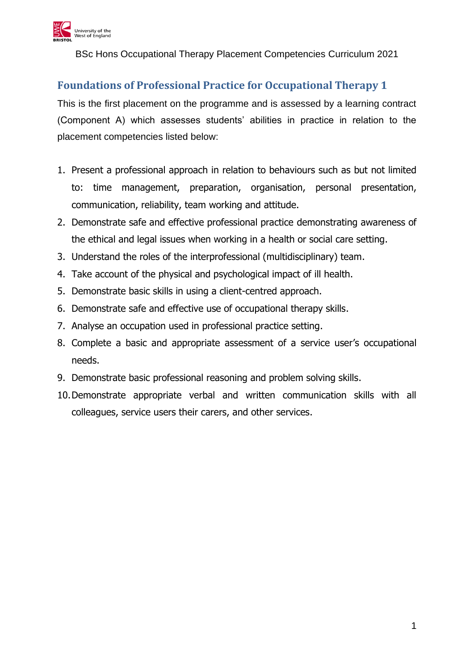

BSc Hons Occupational Therapy Placement Competencies Curriculum 2021

## **Foundations of Professional Practice for Occupational Therapy 1**

This is the first placement on the programme and is assessed by a learning contract (Component A) which assesses students' abilities in practice in relation to the placement competencies listed below:

- 1. Present a professional approach in relation to behaviours such as but not limited to: time management, preparation, organisation, personal presentation, communication, reliability, team working and attitude.
- 2. Demonstrate safe and effective professional practice demonstrating awareness of the ethical and legal issues when working in a health or social care setting.
- 3. Understand the roles of the interprofessional (multidisciplinary) team.
- 4. Take account of the physical and psychological impact of ill health.
- 5. Demonstrate basic skills in using a client-centred approach.
- 6. Demonstrate safe and effective use of occupational therapy skills.
- 7. Analyse an occupation used in professional practice setting.
- 8. Complete a basic and appropriate assessment of a service user's occupational needs.
- 9. Demonstrate basic professional reasoning and problem solving skills.
- 10.Demonstrate appropriate verbal and written communication skills with all colleagues, service users their carers, and other services.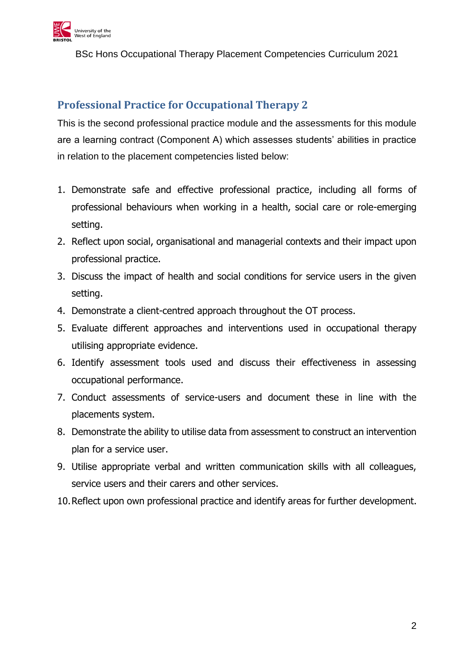

BSc Hons Occupational Therapy Placement Competencies Curriculum 2021

## **Professional Practice for Occupational Therapy 2**

This is the second professional practice module and the assessments for this module are a learning contract (Component A) which assesses students' abilities in practice in relation to the placement competencies listed below:

- 1. Demonstrate safe and effective professional practice, including all forms of professional behaviours when working in a health, social care or role-emerging setting.
- 2. Reflect upon social, organisational and managerial contexts and their impact upon professional practice.
- 3. Discuss the impact of health and social conditions for service users in the given setting.
- 4. Demonstrate a client-centred approach throughout the OT process.
- 5. Evaluate different approaches and interventions used in occupational therapy utilising appropriate evidence.
- 6. Identify assessment tools used and discuss their effectiveness in assessing occupational performance.
- 7. Conduct assessments of service-users and document these in line with the placements system.
- 8. Demonstrate the ability to utilise data from assessment to construct an intervention plan for a service user.
- 9. Utilise appropriate verbal and written communication skills with all colleagues, service users and their carers and other services.
- 10.Reflect upon own professional practice and identify areas for further development.